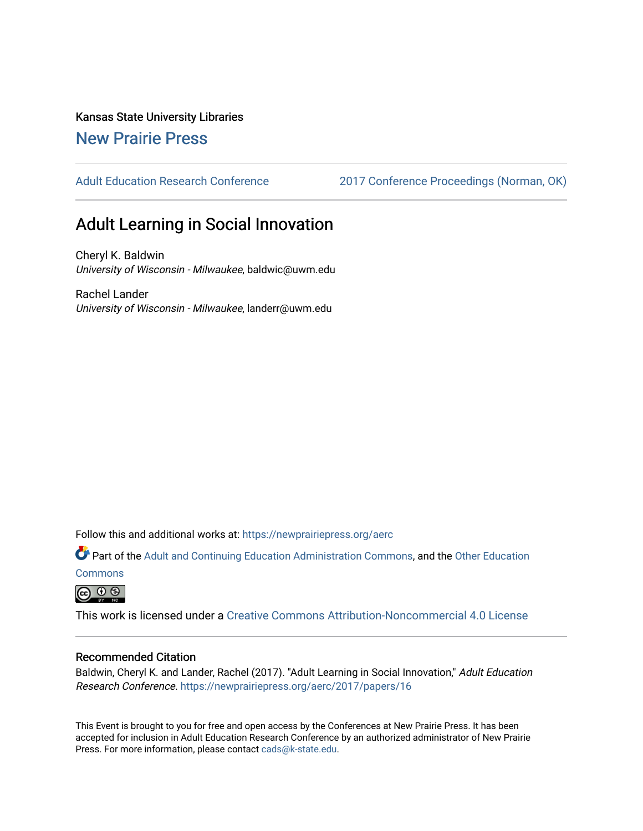Kansas State University Libraries

# [New Prairie Press](https://newprairiepress.org/)

[Adult Education Research Conference](https://newprairiepress.org/aerc) [2017 Conference Proceedings \(Norman, OK\)](https://newprairiepress.org/aerc/2017) 

# Adult Learning in Social Innovation

Cheryl K. Baldwin University of Wisconsin - Milwaukee, baldwic@uwm.edu

Rachel Lander University of Wisconsin - Milwaukee, landerr@uwm.edu

Follow this and additional works at: [https://newprairiepress.org/aerc](https://newprairiepress.org/aerc?utm_source=newprairiepress.org%2Faerc%2F2017%2Fpapers%2F16&utm_medium=PDF&utm_campaign=PDFCoverPages)

Part of the [Adult and Continuing Education Administration Commons](http://network.bepress.com/hgg/discipline/789?utm_source=newprairiepress.org%2Faerc%2F2017%2Fpapers%2F16&utm_medium=PDF&utm_campaign=PDFCoverPages), and the [Other Education](http://network.bepress.com/hgg/discipline/811?utm_source=newprairiepress.org%2Faerc%2F2017%2Fpapers%2F16&utm_medium=PDF&utm_campaign=PDFCoverPages)

**[Commons](http://network.bepress.com/hgg/discipline/811?utm_source=newprairiepress.org%2Faerc%2F2017%2Fpapers%2F16&utm_medium=PDF&utm_campaign=PDFCoverPages)** 

 $\circledcirc$   $\circledcirc$ 

This work is licensed under a [Creative Commons Attribution-Noncommercial 4.0 License](https://creativecommons.org/licenses/by-nc/4.0/)

# Recommended Citation

Baldwin, Cheryl K. and Lander, Rachel (2017). "Adult Learning in Social Innovation," Adult Education Research Conference. <https://newprairiepress.org/aerc/2017/papers/16>

This Event is brought to you for free and open access by the Conferences at New Prairie Press. It has been accepted for inclusion in Adult Education Research Conference by an authorized administrator of New Prairie Press. For more information, please contact [cads@k-state.edu.](mailto:cads@k-state.edu)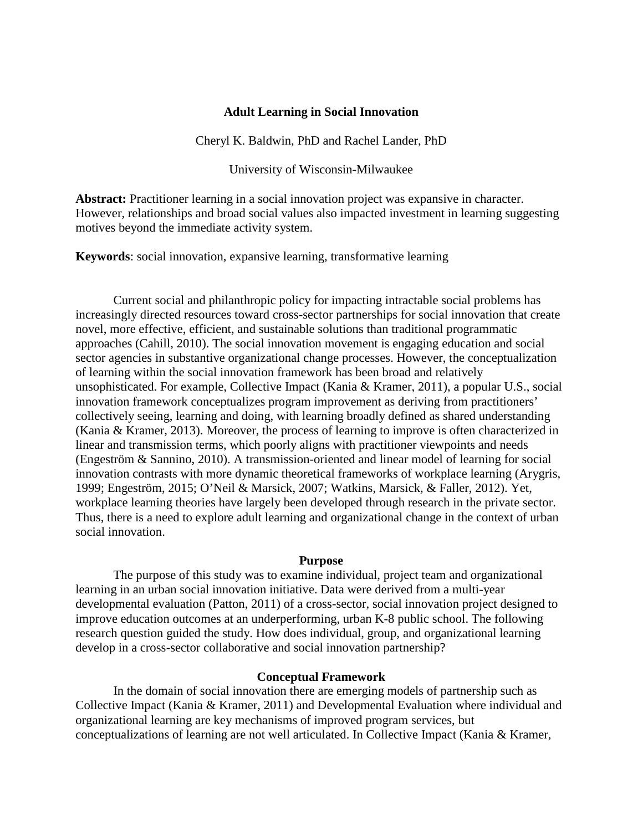# **Adult Learning in Social Innovation**

Cheryl K. Baldwin, PhD and Rachel Lander, PhD

University of Wisconsin-Milwaukee

**Abstract:** Practitioner learning in a social innovation project was expansive in character. However, relationships and broad social values also impacted investment in learning suggesting motives beyond the immediate activity system.

**Keywords**: social innovation, expansive learning, transformative learning

Current social and philanthropic policy for impacting intractable social problems has increasingly directed resources toward cross-sector partnerships for social innovation that create novel, more effective, efficient, and sustainable solutions than traditional programmatic approaches (Cahill, 2010). The social innovation movement is engaging education and social sector agencies in substantive organizational change processes. However, the conceptualization of learning within the social innovation framework has been broad and relatively unsophisticated. For example, Collective Impact (Kania & Kramer, 2011), a popular U.S., social innovation framework conceptualizes program improvement as deriving from practitioners' collectively seeing, learning and doing, with learning broadly defined as shared understanding (Kania & Kramer, 2013). Moreover, the process of learning to improve is often characterized in linear and transmission terms, which poorly aligns with practitioner viewpoints and needs (Engeström & Sannino, 2010). A transmission-oriented and linear model of learning for social innovation contrasts with more dynamic theoretical frameworks of workplace learning (Arygris, 1999; Engeström, 2015; O'Neil & Marsick, 2007; Watkins, Marsick, & Faller, 2012). Yet, workplace learning theories have largely been developed through research in the private sector. Thus, there is a need to explore adult learning and organizational change in the context of urban social innovation.

# **Purpose**

The purpose of this study was to examine individual, project team and organizational learning in an urban social innovation initiative. Data were derived from a multi-year developmental evaluation (Patton, 2011) of a cross-sector, social innovation project designed to improve education outcomes at an underperforming, urban K-8 public school. The following research question guided the study. How does individual, group, and organizational learning develop in a cross-sector collaborative and social innovation partnership?

# **Conceptual Framework**

In the domain of social innovation there are emerging models of partnership such as Collective Impact (Kania & Kramer, 2011) and Developmental Evaluation where individual and organizational learning are key mechanisms of improved program services, but conceptualizations of learning are not well articulated. In Collective Impact (Kania & Kramer,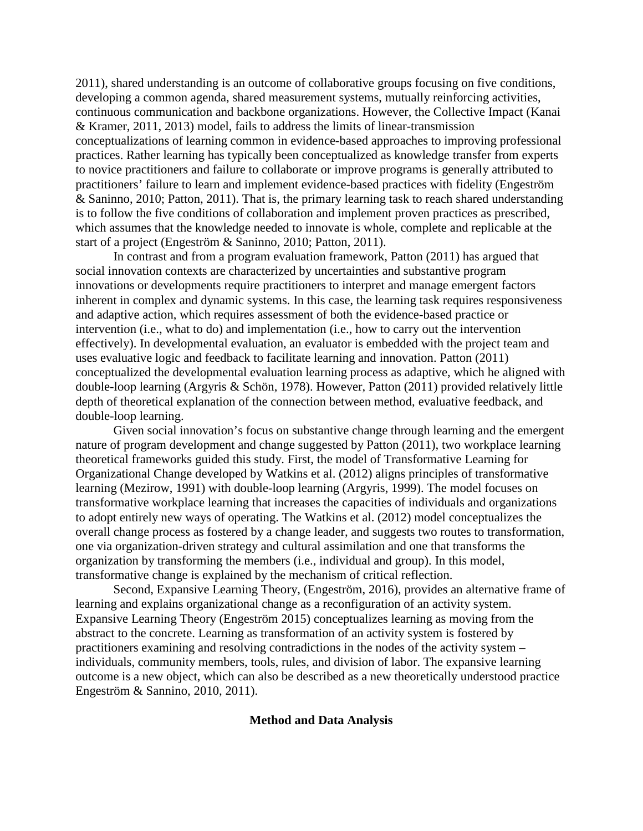2011), shared understanding is an outcome of collaborative groups focusing on five conditions, developing a common agenda, shared measurement systems, mutually reinforcing activities, continuous communication and backbone organizations. However, the Collective Impact (Kanai & Kramer, 2011, 2013) model, fails to address the limits of linear-transmission conceptualizations of learning common in evidence-based approaches to improving professional practices. Rather learning has typically been conceptualized as knowledge transfer from experts to novice practitioners and failure to collaborate or improve programs is generally attributed to practitioners' failure to learn and implement evidence-based practices with fidelity (Engeström & Saninno, 2010; Patton, 2011). That is, the primary learning task to reach shared understanding is to follow the five conditions of collaboration and implement proven practices as prescribed, which assumes that the knowledge needed to innovate is whole, complete and replicable at the start of a project (Engeström & Saninno, 2010; Patton, 2011).

In contrast and from a program evaluation framework, Patton (2011) has argued that social innovation contexts are characterized by uncertainties and substantive program innovations or developments require practitioners to interpret and manage emergent factors inherent in complex and dynamic systems. In this case, the learning task requires responsiveness and adaptive action, which requires assessment of both the evidence-based practice or intervention (i.e., what to do) and implementation (i.e., how to carry out the intervention effectively). In developmental evaluation, an evaluator is embedded with the project team and uses evaluative logic and feedback to facilitate learning and innovation. Patton (2011) conceptualized the developmental evaluation learning process as adaptive, which he aligned with double-loop learning (Argyris & Schön, 1978). However, Patton (2011) provided relatively little depth of theoretical explanation of the connection between method, evaluative feedback, and double-loop learning.

Given social innovation's focus on substantive change through learning and the emergent nature of program development and change suggested by Patton (2011), two workplace learning theoretical frameworks guided this study. First, the model of Transformative Learning for Organizational Change developed by Watkins et al. (2012) aligns principles of transformative learning (Mezirow, 1991) with double-loop learning (Argyris, 1999). The model focuses on transformative workplace learning that increases the capacities of individuals and organizations to adopt entirely new ways of operating. The Watkins et al. (2012) model conceptualizes the overall change process as fostered by a change leader, and suggests two routes to transformation, one via organization-driven strategy and cultural assimilation and one that transforms the organization by transforming the members (i.e., individual and group). In this model, transformative change is explained by the mechanism of critical reflection.

Second, Expansive Learning Theory, (Engeström, 2016), provides an alternative frame of learning and explains organizational change as a reconfiguration of an activity system. Expansive Learning Theory (Engeström 2015) conceptualizes learning as moving from the abstract to the concrete. Learning as transformation of an activity system is fostered by practitioners examining and resolving contradictions in the nodes of the activity system – individuals, community members, tools, rules, and division of labor. The expansive learning outcome is a new object, which can also be described as a new theoretically understood practice Engeström & Sannino, 2010, 2011).

#### **Method and Data Analysis**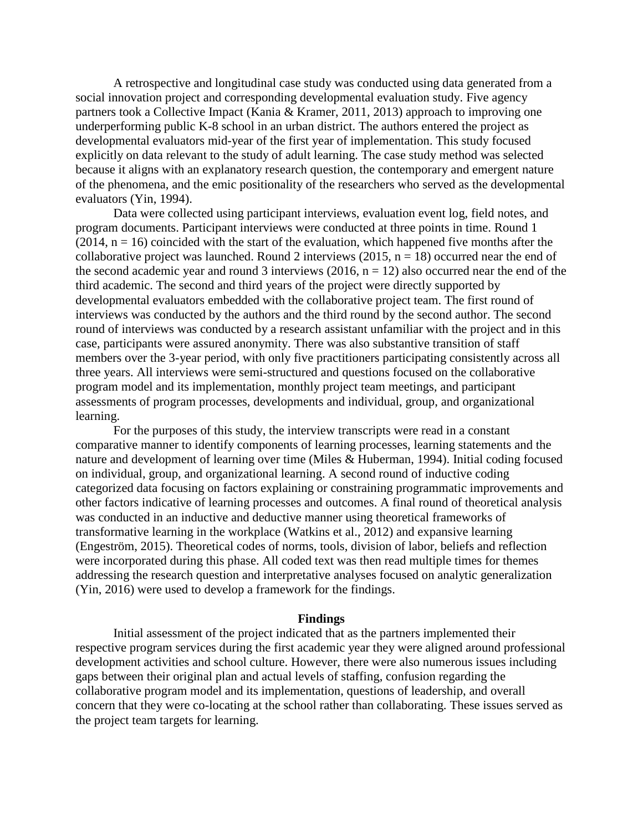A retrospective and longitudinal case study was conducted using data generated from a social innovation project and corresponding developmental evaluation study. Five agency partners took a Collective Impact (Kania & Kramer, 2011, 2013) approach to improving one underperforming public K-8 school in an urban district. The authors entered the project as developmental evaluators mid-year of the first year of implementation. This study focused explicitly on data relevant to the study of adult learning. The case study method was selected because it aligns with an explanatory research question, the contemporary and emergent nature of the phenomena, and the emic positionality of the researchers who served as the developmental evaluators (Yin, 1994).

Data were collected using participant interviews, evaluation event log, field notes, and program documents. Participant interviews were conducted at three points in time. Round 1  $(2014, n = 16)$  coincided with the start of the evaluation, which happened five months after the collaborative project was launched. Round 2 interviews (2015,  $n = 18$ ) occurred near the end of the second academic year and round 3 interviews (2016,  $n = 12$ ) also occurred near the end of the third academic. The second and third years of the project were directly supported by developmental evaluators embedded with the collaborative project team. The first round of interviews was conducted by the authors and the third round by the second author. The second round of interviews was conducted by a research assistant unfamiliar with the project and in this case, participants were assured anonymity. There was also substantive transition of staff members over the 3-year period, with only five practitioners participating consistently across all three years. All interviews were semi-structured and questions focused on the collaborative program model and its implementation, monthly project team meetings, and participant assessments of program processes, developments and individual, group, and organizational learning.

For the purposes of this study, the interview transcripts were read in a constant comparative manner to identify components of learning processes, learning statements and the nature and development of learning over time (Miles & Huberman, 1994). Initial coding focused on individual, group, and organizational learning. A second round of inductive coding categorized data focusing on factors explaining or constraining programmatic improvements and other factors indicative of learning processes and outcomes. A final round of theoretical analysis was conducted in an inductive and deductive manner using theoretical frameworks of transformative learning in the workplace (Watkins et al., 2012) and expansive learning (Engeström, 2015). Theoretical codes of norms, tools, division of labor, beliefs and reflection were incorporated during this phase. All coded text was then read multiple times for themes addressing the research question and interpretative analyses focused on analytic generalization (Yin, 2016) were used to develop a framework for the findings.

#### **Findings**

Initial assessment of the project indicated that as the partners implemented their respective program services during the first academic year they were aligned around professional development activities and school culture. However, there were also numerous issues including gaps between their original plan and actual levels of staffing, confusion regarding the collaborative program model and its implementation, questions of leadership, and overall concern that they were co-locating at the school rather than collaborating. These issues served as the project team targets for learning.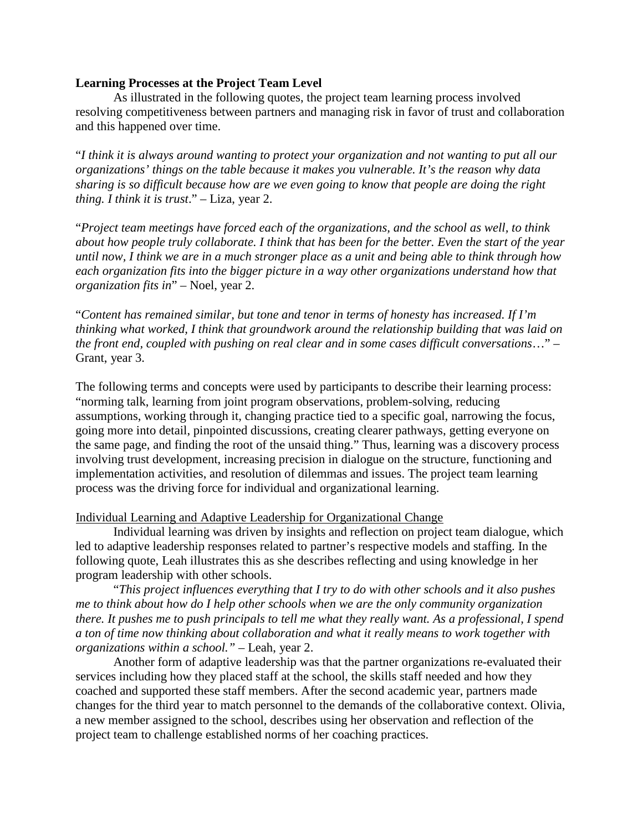# **Learning Processes at the Project Team Level**

As illustrated in the following quotes, the project team learning process involved resolving competitiveness between partners and managing risk in favor of trust and collaboration and this happened over time.

"*I think it is always around wanting to protect your organization and not wanting to put all our organizations' things on the table because it makes you vulnerable. It's the reason why data sharing is so difficult because how are we even going to know that people are doing the right thing. I think it is trust*." – Liza, year 2.

"*Project team meetings have forced each of the organizations, and the school as well, to think about how people truly collaborate. I think that has been for the better. Even the start of the year until now, I think we are in a much stronger place as a unit and being able to think through how each organization fits into the bigger picture in a way other organizations understand how that organization fits in*" – Noel, year 2.

"*Content has remained similar, but tone and tenor in terms of honesty has increased. If I'm thinking what worked, I think that groundwork around the relationship building that was laid on the front end, coupled with pushing on real clear and in some cases difficult conversations*…" – Grant, year 3.

The following terms and concepts were used by participants to describe their learning process: "norming talk, learning from joint program observations, problem-solving, reducing assumptions, working through it, changing practice tied to a specific goal, narrowing the focus, going more into detail, pinpointed discussions, creating clearer pathways, getting everyone on the same page, and finding the root of the unsaid thing." Thus, learning was a discovery process involving trust development, increasing precision in dialogue on the structure, functioning and implementation activities, and resolution of dilemmas and issues. The project team learning process was the driving force for individual and organizational learning.

# Individual Learning and Adaptive Leadership for Organizational Change

Individual learning was driven by insights and reflection on project team dialogue, which led to adaptive leadership responses related to partner's respective models and staffing. In the following quote, Leah illustrates this as she describes reflecting and using knowledge in her program leadership with other schools.

"*This project influences everything that I try to do with other schools and it also pushes me to think about how do I help other schools when we are the only community organization there. It pushes me to push principals to tell me what they really want. As a professional, I spend a ton of time now thinking about collaboration and what it really means to work together with organizations within a school."* – Leah, year 2.

Another form of adaptive leadership was that the partner organizations re-evaluated their services including how they placed staff at the school, the skills staff needed and how they coached and supported these staff members. After the second academic year, partners made changes for the third year to match personnel to the demands of the collaborative context. Olivia, a new member assigned to the school, describes using her observation and reflection of the project team to challenge established norms of her coaching practices.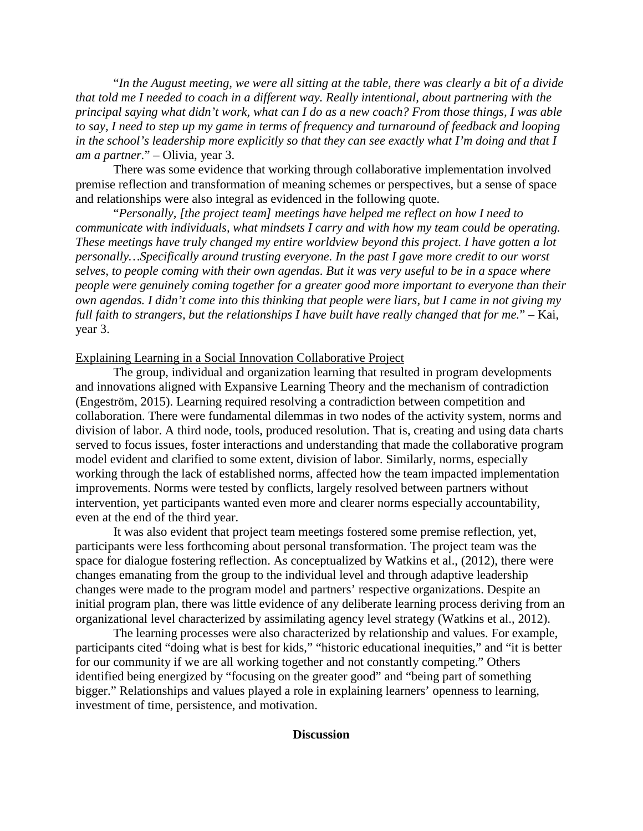"*In the August meeting, we were all sitting at the table, there was clearly a bit of a divide that told me I needed to coach in a different way. Really intentional, about partnering with the principal saying what didn't work, what can I do as a new coach? From those things, I was able to say, I need to step up my game in terms of frequency and turnaround of feedback and looping in the school's leadership more explicitly so that they can see exactly what I'm doing and that I am a partner.*" – Olivia, year 3.

There was some evidence that working through collaborative implementation involved premise reflection and transformation of meaning schemes or perspectives, but a sense of space and relationships were also integral as evidenced in the following quote.

"*Personally, [the project team] meetings have helped me reflect on how I need to communicate with individuals, what mindsets I carry and with how my team could be operating. These meetings have truly changed my entire worldview beyond this project. I have gotten a lot personally…Specifically around trusting everyone. In the past I gave more credit to our worst selves, to people coming with their own agendas. But it was very useful to be in a space where people were genuinely coming together for a greater good more important to everyone than their own agendas. I didn't come into this thinking that people were liars, but I came in not giving my full faith to strangers, but the relationships I have built have really changed that for me.*" – Kai, year 3.

#### Explaining Learning in a Social Innovation Collaborative Project

The group, individual and organization learning that resulted in program developments and innovations aligned with Expansive Learning Theory and the mechanism of contradiction (Engeström, 2015). Learning required resolving a contradiction between competition and collaboration. There were fundamental dilemmas in two nodes of the activity system, norms and division of labor. A third node, tools, produced resolution. That is, creating and using data charts served to focus issues, foster interactions and understanding that made the collaborative program model evident and clarified to some extent, division of labor. Similarly, norms, especially working through the lack of established norms, affected how the team impacted implementation improvements. Norms were tested by conflicts, largely resolved between partners without intervention, yet participants wanted even more and clearer norms especially accountability, even at the end of the third year.

It was also evident that project team meetings fostered some premise reflection, yet, participants were less forthcoming about personal transformation. The project team was the space for dialogue fostering reflection. As conceptualized by Watkins et al., (2012), there were changes emanating from the group to the individual level and through adaptive leadership changes were made to the program model and partners' respective organizations. Despite an initial program plan, there was little evidence of any deliberate learning process deriving from an organizational level characterized by assimilating agency level strategy (Watkins et al., 2012).

The learning processes were also characterized by relationship and values. For example, participants cited "doing what is best for kids," "historic educational inequities," and "it is better for our community if we are all working together and not constantly competing." Others identified being energized by "focusing on the greater good" and "being part of something bigger." Relationships and values played a role in explaining learners' openness to learning, investment of time, persistence, and motivation.

# **Discussion**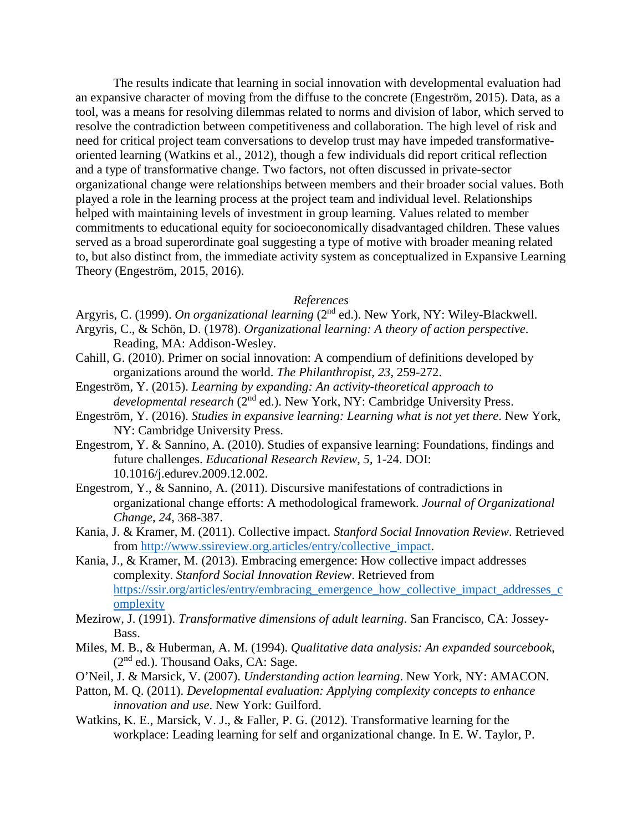The results indicate that learning in social innovation with developmental evaluation had an expansive character of moving from the diffuse to the concrete (Engeström, 2015). Data, as a tool, was a means for resolving dilemmas related to norms and division of labor, which served to resolve the contradiction between competitiveness and collaboration. The high level of risk and need for critical project team conversations to develop trust may have impeded transformativeoriented learning (Watkins et al., 2012), though a few individuals did report critical reflection and a type of transformative change. Two factors, not often discussed in private-sector organizational change were relationships between members and their broader social values. Both played a role in the learning process at the project team and individual level. Relationships helped with maintaining levels of investment in group learning. Values related to member commitments to educational equity for socioeconomically disadvantaged children. These values served as a broad superordinate goal suggesting a type of motive with broader meaning related to, but also distinct from, the immediate activity system as conceptualized in Expansive Learning Theory (Engeström, 2015, 2016).

#### *References*

- Argyris, C. (1999). *On organizational learning* (2<sup>nd</sup> ed.). New York, NY: Wiley-Blackwell. Argyris, C., & Schön, D. (1978). *Organizational learning: A theory of action perspective*.
- Reading, MA: Addison-Wesley.
- Cahill, G. (2010). Primer on social innovation: A compendium of definitions developed by organizations around the world. *The Philanthropist*, *23*, 259-272.
- Engeström, Y. (2015). *Learning by expanding: An activity-theoretical approach to developmental research* (2nd ed.). New York, NY: Cambridge University Press.
- Engeström, Y. (2016). *Studies in expansive learning: Learning what is not yet there*. New York, NY: Cambridge University Press.
- Engestrom, Y. & Sannino, A. (2010). Studies of expansive learning: Foundations, findings and future challenges. *Educational Research Review*, *5*, 1-24. DOI: 10.1016/j.edurev.2009.12.002.
- Engestrom, Y., & Sannino, A. (2011). Discursive manifestations of contradictions in organizational change efforts: A methodological framework. *Journal of Organizational Change*, *24*, 368-387.
- Kania, J. & Kramer, M. (2011). Collective impact. *Stanford Social Innovation Review*. Retrieved from [http://www.ssireview.org.articles/entry/collective\\_impact.](http://www.ssireview.org.articles/entry/collective_impact)
- Kania, J., & Kramer, M. (2013). Embracing emergence: How collective impact addresses complexity. *Stanford Social Innovation Review*. Retrieved from [https://ssir.org/articles/entry/embracing\\_emergence\\_how\\_collective\\_impact\\_addresses\\_c](https://ssir.org/articles/entry/embracing_emergence_how_collective_impact_addresses_complexity) [omplexity](https://ssir.org/articles/entry/embracing_emergence_how_collective_impact_addresses_complexity)
- Mezirow, J. (1991). *Transformative dimensions of adult learning*. San Francisco, CA: Jossey-Bass.
- Miles, M. B., & Huberman, A. M. (1994). *Qualitative data analysis: An expanded sourcebook*,  $(2<sup>nd</sup>$  ed.). Thousand Oaks, CA: Sage.
- O'Neil, J. & Marsick, V. (2007). *Understanding action learning*. New York, NY: AMACON.
- Patton, M. Q. (2011). *Developmental evaluation: Applying complexity concepts to enhance innovation and use*. New York: Guilford.
- Watkins, K. E., Marsick, V. J., & Faller, P. G. (2012). Transformative learning for the workplace: Leading learning for self and organizational change. In E. W. Taylor, P.